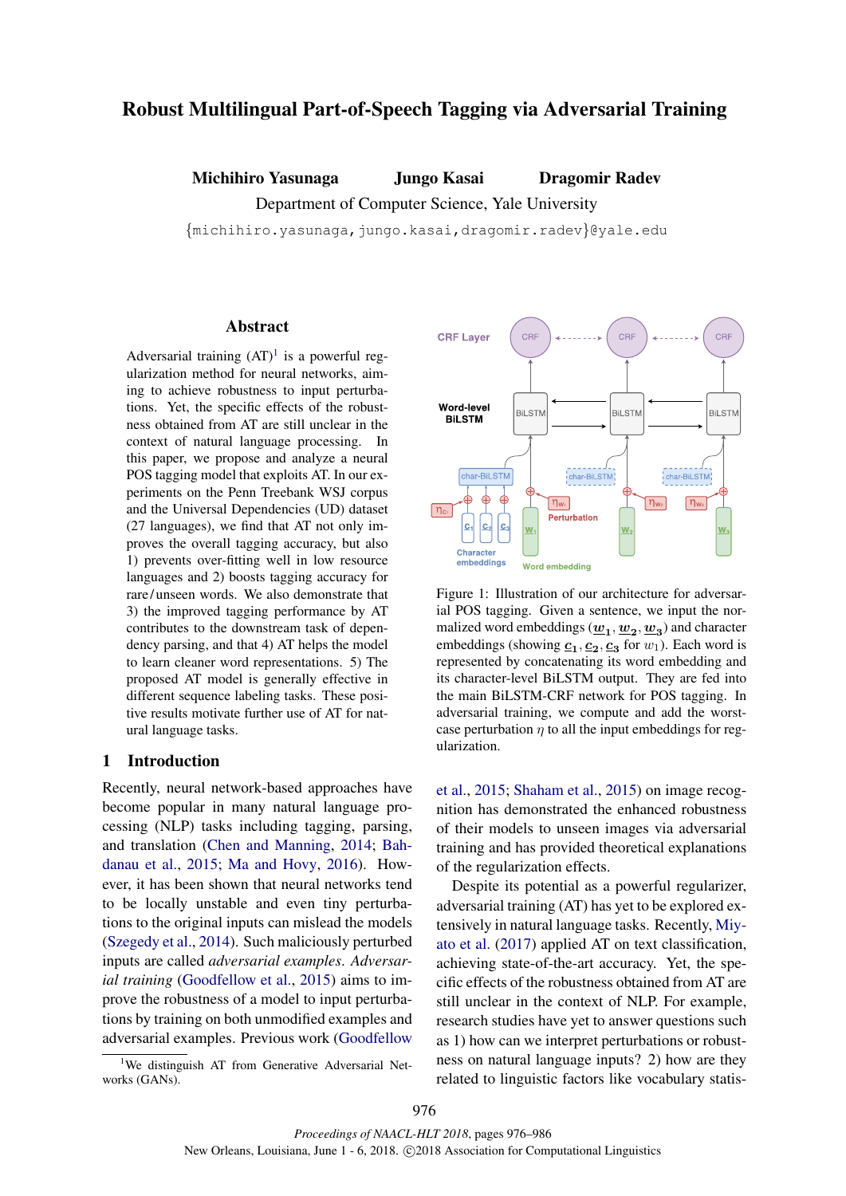# Robust Multilingual Part-of-Speech Tagging via Adversarial Training

Michihiro Yasunaga Jungo Kasai Dragomir Radev

Department of Computer Science, Yale University

{michihiro.yasunaga,jungo.kasai,dragomir.radev}@yale.edu

# Abstract

Adversarial training  $(AT)^1$  is a powerful regularization method for neural networks, aiming to achieve robustness to input perturbations. Yet, the specific effects of the robustness obtained from AT are still unclear in the context of natural language processing. In this paper, we propose and analyze a neural POS tagging model that exploits AT. In our experiments on the Penn Treebank WSJ corpus and the Universal Dependencies (UD) dataset (27 languages), we find that AT not only improves the overall tagging accuracy, but also 1) prevents over-fitting well in low resource languages and 2) boosts tagging accuracy for rare / unseen words. We also demonstrate that 3) the improved tagging performance by AT contributes to the downstream task of dependency parsing, and that 4) AT helps the model to learn cleaner word representations. 5) The proposed AT model is generally effective in different sequence labeling tasks. These positive results motivate further use of AT for natural language tasks.

### 1 Introduction

Recently, neural network-based approaches have become popular in many natural language processing (NLP) tasks including tagging, parsing, and translation (Chen and Manning, 2014; Bahdanau et al., 2015; Ma and Hovy, 2016). However, it has been shown that neural networks tend to be locally unstable and even tiny perturbations to the original inputs can mislead the models (Szegedy et al., 2014). Such maliciously perturbed inputs are called *adversarial examples*. *Adversarial training* (Goodfellow et al., 2015) aims to improve the robustness of a model to input perturbations by training on both unmodified examples and adversarial examples. Previous work (Goodfellow

<sup>1</sup>We distinguish AT from Generative Adversarial Networks (GANs).



Figure 1: Illustration of our architecture for adversarial POS tagging. Given a sentence, we input the normalized word embeddings  $(\underline{w}_1, \underline{w}_2, \underline{w}_3)$  and character embeddings (showing  $\underline{c}_1, \underline{c}_2, \underline{c}_3$  for  $w_1$ ). Each word is represented by concatenating its word embedding and its character-level BiLSTM output. They are fed into the main BiLSTM-CRF network for POS tagging. In adversarial training, we compute and add the worstcase perturbation  $n$  to all the input embeddings for regularization.

et al., 2015; Shaham et al., 2015) on image recognition has demonstrated the enhanced robustness of their models to unseen images via adversarial training and has provided theoretical explanations of the regularization effects.

Despite its potential as a powerful regularizer, adversarial training (AT) has yet to be explored extensively in natural language tasks. Recently, Miyato et al. (2017) applied AT on text classification, achieving state-of-the-art accuracy. Yet, the specific effects of the robustness obtained from AT are still unclear in the context of NLP. For example, research studies have yet to answer questions such as 1) how can we interpret perturbations or robustness on natural language inputs? 2) how are they related to linguistic factors like vocabulary statis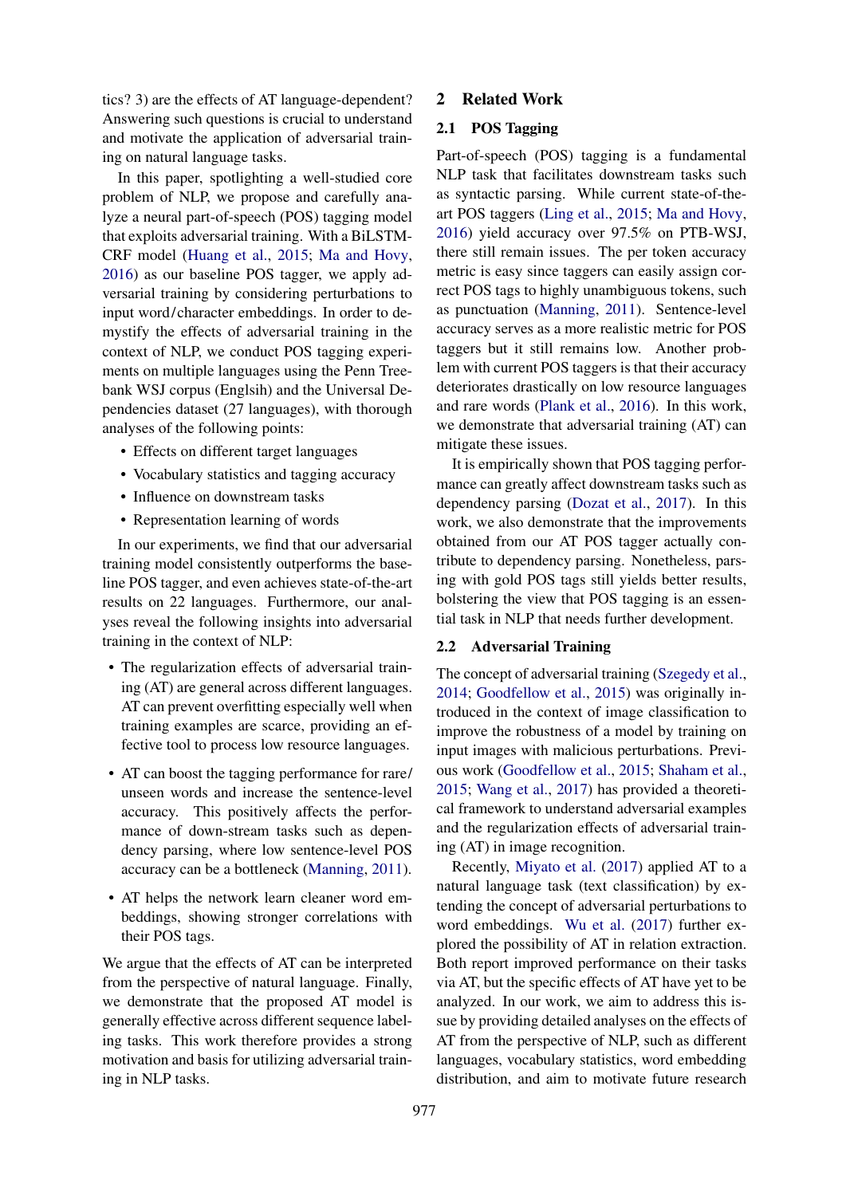tics? 3) are the effects of AT language-dependent? Answering such questions is crucial to understand and motivate the application of adversarial training on natural language tasks.

In this paper, spotlighting a well-studied core problem of NLP, we propose and carefully analyze a neural part-of-speech (POS) tagging model that exploits adversarial training. With a BiLSTM-CRF model (Huang et al., 2015; Ma and Hovy, 2016) as our baseline POS tagger, we apply adversarial training by considering perturbations to input word/character embeddings. In order to demystify the effects of adversarial training in the context of NLP, we conduct POS tagging experiments on multiple languages using the Penn Treebank WSJ corpus (Englsih) and the Universal Dependencies dataset (27 languages), with thorough analyses of the following points:

- Effects on different target languages
- Vocabulary statistics and tagging accuracy
- Influence on downstream tasks
- Representation learning of words

In our experiments, we find that our adversarial training model consistently outperforms the baseline POS tagger, and even achieves state-of-the-art results on 22 languages. Furthermore, our analyses reveal the following insights into adversarial training in the context of NLP:

- The regularization effects of adversarial training (AT) are general across different languages. AT can prevent overfitting especially well when training examples are scarce, providing an effective tool to process low resource languages.
- AT can boost the tagging performance for rare/ unseen words and increase the sentence-level accuracy. This positively affects the performance of down-stream tasks such as dependency parsing, where low sentence-level POS accuracy can be a bottleneck (Manning, 2011).
- AT helps the network learn cleaner word embeddings, showing stronger correlations with their POS tags.

We argue that the effects of AT can be interpreted from the perspective of natural language. Finally, we demonstrate that the proposed AT model is generally effective across different sequence labeling tasks. This work therefore provides a strong motivation and basis for utilizing adversarial training in NLP tasks.

#### 2 Related Work

### 2.1 POS Tagging

Part-of-speech (POS) tagging is a fundamental NLP task that facilitates downstream tasks such as syntactic parsing. While current state-of-theart POS taggers (Ling et al., 2015; Ma and Hovy, 2016) yield accuracy over 97.5% on PTB-WSJ, there still remain issues. The per token accuracy metric is easy since taggers can easily assign correct POS tags to highly unambiguous tokens, such as punctuation (Manning, 2011). Sentence-level accuracy serves as a more realistic metric for POS taggers but it still remains low. Another problem with current POS taggers is that their accuracy deteriorates drastically on low resource languages and rare words (Plank et al., 2016). In this work, we demonstrate that adversarial training (AT) can mitigate these issues.

It is empirically shown that POS tagging performance can greatly affect downstream tasks such as dependency parsing (Dozat et al., 2017). In this work, we also demonstrate that the improvements obtained from our AT POS tagger actually contribute to dependency parsing. Nonetheless, parsing with gold POS tags still yields better results, bolstering the view that POS tagging is an essential task in NLP that needs further development.

# 2.2 Adversarial Training

The concept of adversarial training (Szegedy et al., 2014; Goodfellow et al., 2015) was originally introduced in the context of image classification to improve the robustness of a model by training on input images with malicious perturbations. Previous work (Goodfellow et al., 2015; Shaham et al., 2015; Wang et al., 2017) has provided a theoretical framework to understand adversarial examples and the regularization effects of adversarial training (AT) in image recognition.

Recently, Miyato et al. (2017) applied AT to a natural language task (text classification) by extending the concept of adversarial perturbations to word embeddings. Wu et al. (2017) further explored the possibility of AT in relation extraction. Both report improved performance on their tasks via AT, but the specific effects of AT have yet to be analyzed. In our work, we aim to address this issue by providing detailed analyses on the effects of AT from the perspective of NLP, such as different languages, vocabulary statistics, word embedding distribution, and aim to motivate future research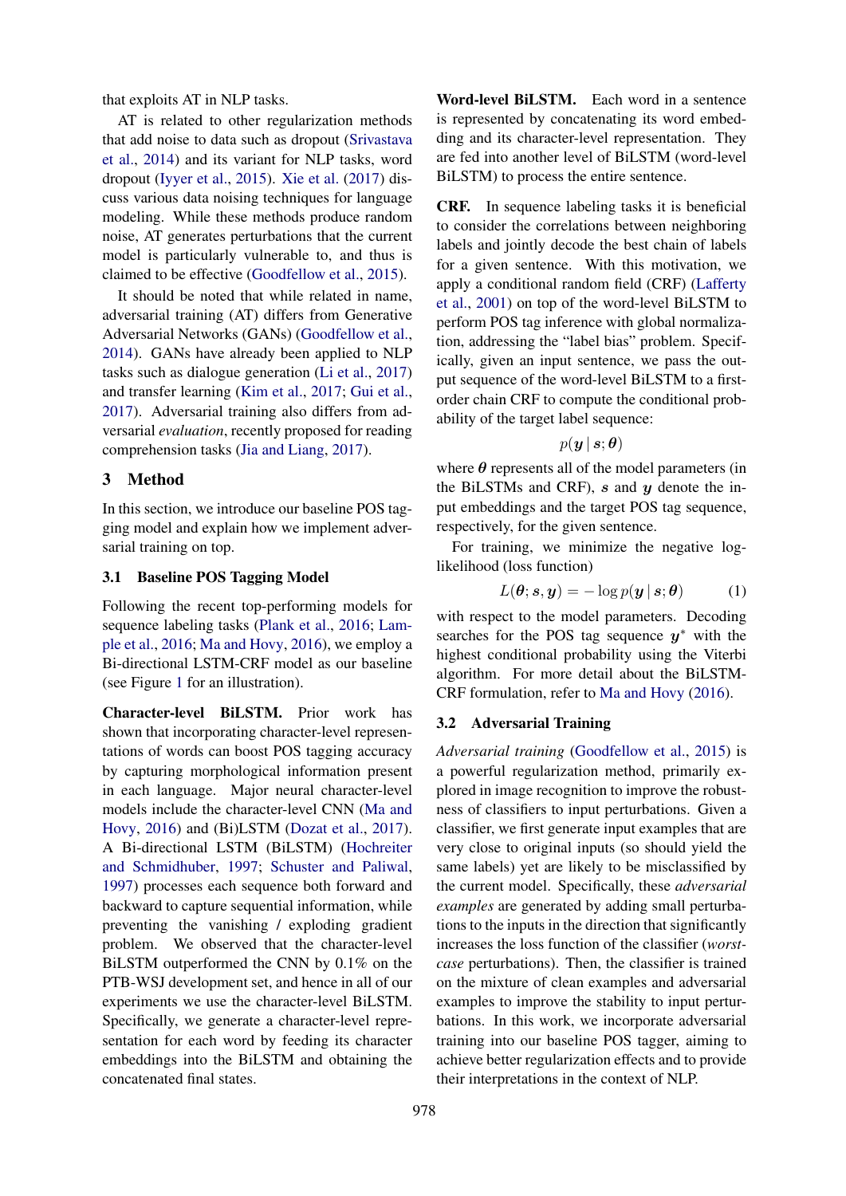that exploits AT in NLP tasks.

AT is related to other regularization methods that add noise to data such as dropout (Srivastava et al., 2014) and its variant for NLP tasks, word dropout (Iyyer et al., 2015). Xie et al. (2017) discuss various data noising techniques for language modeling. While these methods produce random noise, AT generates perturbations that the current model is particularly vulnerable to, and thus is claimed to be effective (Goodfellow et al., 2015).

It should be noted that while related in name, adversarial training (AT) differs from Generative Adversarial Networks (GANs) (Goodfellow et al., 2014). GANs have already been applied to NLP tasks such as dialogue generation (Li et al., 2017) and transfer learning (Kim et al., 2017; Gui et al., 2017). Adversarial training also differs from adversarial *evaluation*, recently proposed for reading comprehension tasks (Jia and Liang, 2017).

# 3 Method

In this section, we introduce our baseline POS tagging model and explain how we implement adversarial training on top.

### 3.1 Baseline POS Tagging Model

Following the recent top-performing models for sequence labeling tasks (Plank et al., 2016; Lample et al., 2016; Ma and Hovy, 2016), we employ a Bi-directional LSTM-CRF model as our baseline (see Figure 1 for an illustration).

Character-level BiLSTM. Prior work has shown that incorporating character-level representations of words can boost POS tagging accuracy by capturing morphological information present in each language. Major neural character-level models include the character-level CNN (Ma and Hovy, 2016) and (Bi)LSTM (Dozat et al., 2017). A Bi-directional LSTM (BiLSTM) (Hochreiter and Schmidhuber, 1997; Schuster and Paliwal, 1997) processes each sequence both forward and backward to capture sequential information, while preventing the vanishing / exploding gradient problem. We observed that the character-level BiLSTM outperformed the CNN by 0.1% on the PTB-WSJ development set, and hence in all of our experiments we use the character-level BiLSTM. Specifically, we generate a character-level representation for each word by feeding its character embeddings into the BiLSTM and obtaining the concatenated final states.

Word-level BiLSTM. Each word in a sentence is represented by concatenating its word embedding and its character-level representation. They are fed into another level of BiLSTM (word-level BiLSTM) to process the entire sentence.

CRF. In sequence labeling tasks it is beneficial to consider the correlations between neighboring labels and jointly decode the best chain of labels for a given sentence. With this motivation, we apply a conditional random field (CRF) (Lafferty et al., 2001) on top of the word-level BiLSTM to perform POS tag inference with global normalization, addressing the "label bias" problem. Specifically, given an input sentence, we pass the output sequence of the word-level BiLSTM to a firstorder chain CRF to compute the conditional probability of the target label sequence:

$$
p(\bm{y}\,\vert\,\bm{s};\bm{\theta})
$$

where  $\theta$  represents all of the model parameters (in the BiLSTMs and CRF),  $s$  and  $y$  denote the input embeddings and the target POS tag sequence, respectively, for the given sentence.

For training, we minimize the negative loglikelihood (loss function)

$$
L(\boldsymbol{\theta}; \boldsymbol{s}, \boldsymbol{y}) = -\log p(\boldsymbol{y} \,|\, \boldsymbol{s}; \boldsymbol{\theta}) \tag{1}
$$

with respect to the model parameters. Decoding searches for the POS tag sequence  $y^*$  with the highest conditional probability using the Viterbi algorithm. For more detail about the BiLSTM-CRF formulation, refer to Ma and Hovy (2016).

### 3.2 Adversarial Training

*Adversarial training* (Goodfellow et al., 2015) is a powerful regularization method, primarily explored in image recognition to improve the robustness of classifiers to input perturbations. Given a classifier, we first generate input examples that are very close to original inputs (so should yield the same labels) yet are likely to be misclassified by the current model. Specifically, these *adversarial examples* are generated by adding small perturbations to the inputs in the direction that significantly increases the loss function of the classifier (*worstcase* perturbations). Then, the classifier is trained on the mixture of clean examples and adversarial examples to improve the stability to input perturbations. In this work, we incorporate adversarial training into our baseline POS tagger, aiming to achieve better regularization effects and to provide their interpretations in the context of NLP.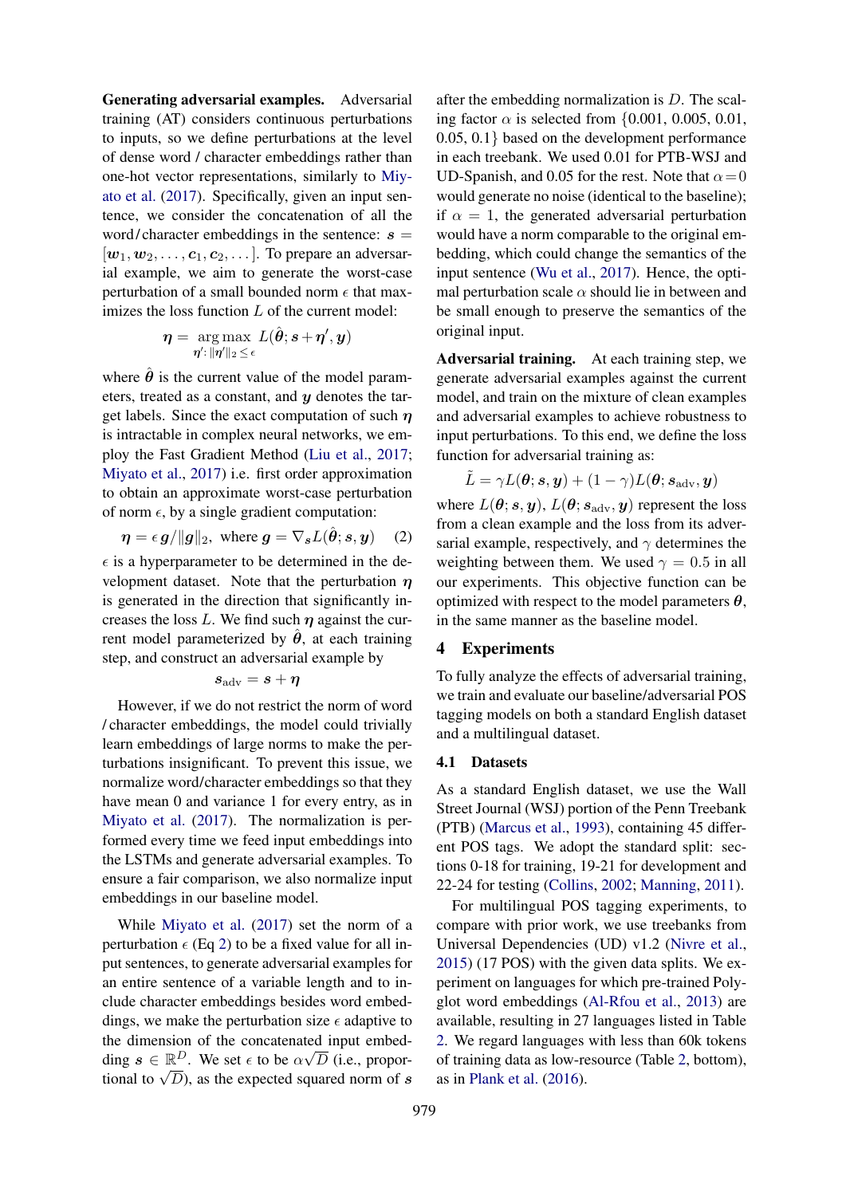Generating adversarial examples. Adversarial training (AT) considers continuous perturbations to inputs, so we define perturbations at the level of dense word / character embeddings rather than one-hot vector representations, similarly to Miyato et al. (2017). Specifically, given an input sentence, we consider the concatenation of all the word/character embeddings in the sentence:  $s =$  $[w_1, w_2, \ldots, c_1, c_2, \ldots]$ . To prepare an adversarial example, we aim to generate the worst-case perturbation of a small bounded norm  $\epsilon$  that maximizes the loss function  $L$  of the current model:

$$
\boldsymbol{\eta} = \argmax_{\boldsymbol{\eta'}: \|\boldsymbol{\eta'}\|_2 \leq \epsilon} L(\hat{\boldsymbol{\theta}}; \boldsymbol{s} + \boldsymbol{\eta'}, \boldsymbol{y})
$$

where  $\theta$  is the current value of the model parameters, treated as a constant, and  $y$  denotes the target labels. Since the exact computation of such  $\eta$ is intractable in complex neural networks, we employ the Fast Gradient Method (Liu et al., 2017; Miyato et al., 2017) i.e. first order approximation to obtain an approximate worst-case perturbation of norm  $\epsilon$ , by a single gradient computation:

$$
\boldsymbol{\eta} = \epsilon \, \boldsymbol{g} / \|\boldsymbol{g}\|_2, \text{ where } \boldsymbol{g} = \nabla_{\boldsymbol{s}} L(\hat{\boldsymbol{\theta}}; \boldsymbol{s}, \boldsymbol{y}) \quad (2)
$$

 $\epsilon$  is a hyperparameter to be determined in the development dataset. Note that the perturbation  $\eta$ is generated in the direction that significantly increases the loss L. We find such  $\eta$  against the current model parameterized by  $\theta$ , at each training step, and construct an adversarial example by

$$
s_{\rm adv} = s + \eta
$$

However, if we do not restrict the norm of word / character embeddings, the model could trivially learn embeddings of large norms to make the perturbations insignificant. To prevent this issue, we normalize word/character embeddings so that they have mean 0 and variance 1 for every entry, as in Miyato et al. (2017). The normalization is performed every time we feed input embeddings into the LSTMs and generate adversarial examples. To ensure a fair comparison, we also normalize input embeddings in our baseline model.

While Miyato et al. (2017) set the norm of a perturbation  $\epsilon$  (Eq 2) to be a fixed value for all input sentences, to generate adversarial examples for an entire sentence of a variable length and to include character embeddings besides word embeddings, we make the perturbation size  $\epsilon$  adaptive to the dimension of the concatenated input embedding  $s \in \mathbb{R}^D$ . We set  $\epsilon$  to be  $\alpha \sqrt{D}$  (i.e., proportional to  $\sqrt{D}$ ), as the expected squared norm of s

after the embedding normalization is D. The scaling factor  $\alpha$  is selected from {0.001, 0.005, 0.01, 0.05, 0.1} based on the development performance in each treebank. We used 0.01 for PTB-WSJ and UD-Spanish, and 0.05 for the rest. Note that  $\alpha = 0$ would generate no noise (identical to the baseline); if  $\alpha = 1$ , the generated adversarial perturbation would have a norm comparable to the original embedding, which could change the semantics of the input sentence (Wu et al., 2017). Hence, the optimal perturbation scale  $\alpha$  should lie in between and be small enough to preserve the semantics of the original input.

Adversarial training. At each training step, we generate adversarial examples against the current model, and train on the mixture of clean examples and adversarial examples to achieve robustness to input perturbations. To this end, we define the loss function for adversarial training as:

$$
\tilde{L} = \gamma L(\boldsymbol{\theta}; \boldsymbol{s}, \boldsymbol{y}) + (1 - \gamma) L(\boldsymbol{\theta}; \boldsymbol{s}_{\text{adv}}, \boldsymbol{y})
$$

where  $L(\theta; s, y)$ ,  $L(\theta; s_{\text{adv}}, y)$  represent the loss from a clean example and the loss from its adversarial example, respectively, and  $\gamma$  determines the weighting between them. We used  $\gamma = 0.5$  in all our experiments. This objective function can be optimized with respect to the model parameters  $\theta$ , in the same manner as the baseline model.

#### 4 Experiments

To fully analyze the effects of adversarial training, we train and evaluate our baseline/adversarial POS tagging models on both a standard English dataset and a multilingual dataset.

#### 4.1 Datasets

As a standard English dataset, we use the Wall Street Journal (WSJ) portion of the Penn Treebank (PTB) (Marcus et al., 1993), containing 45 different POS tags. We adopt the standard split: sections 0-18 for training, 19-21 for development and 22-24 for testing (Collins, 2002; Manning, 2011).

For multilingual POS tagging experiments, to compare with prior work, we use treebanks from Universal Dependencies (UD) v1.2 (Nivre et al., 2015) (17 POS) with the given data splits. We experiment on languages for which pre-trained Polyglot word embeddings (Al-Rfou et al., 2013) are available, resulting in 27 languages listed in Table 2. We regard languages with less than 60k tokens of training data as low-resource (Table 2, bottom), as in Plank et al. (2016).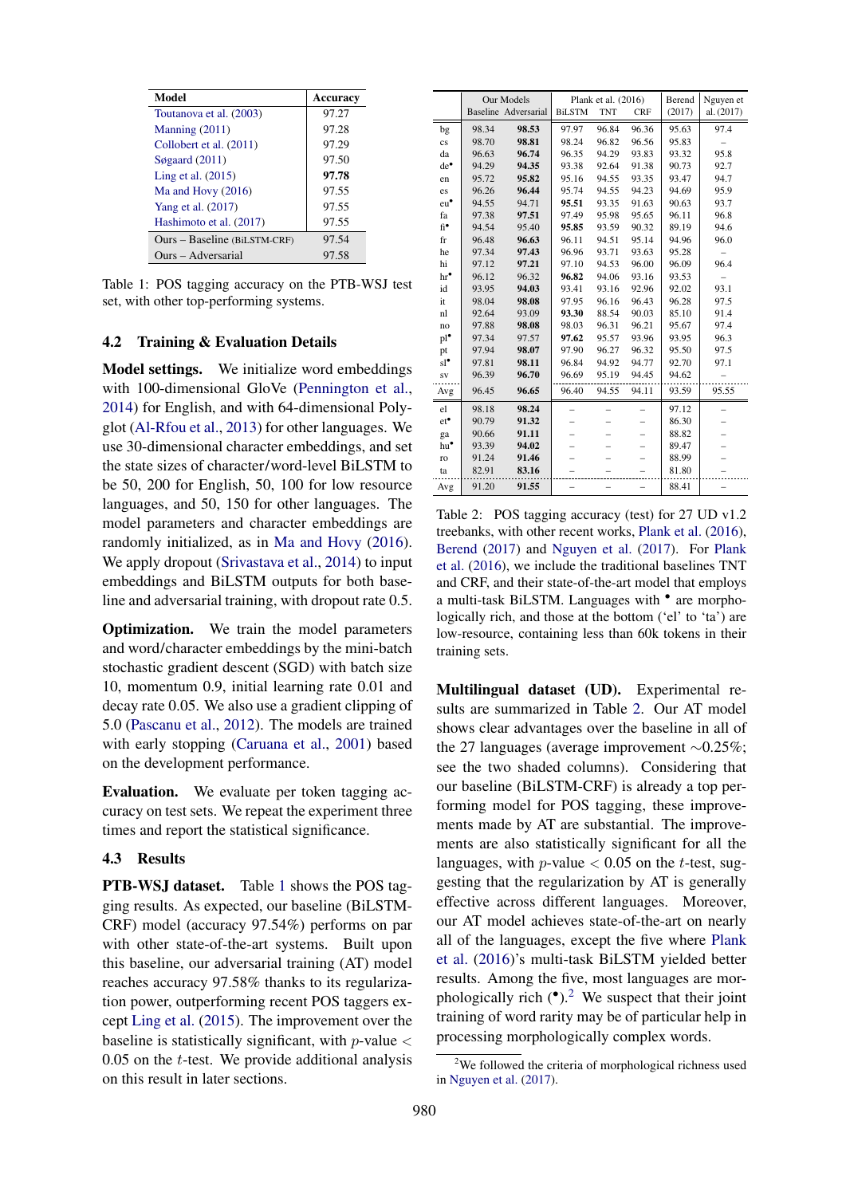| Model                        | Accuracy |
|------------------------------|----------|
| Toutanova et al. (2003)      | 97.27    |
| Manning $(2011)$             | 97.28    |
| Collobert et al. (2011)      | 97.29    |
| Søgaard $(2011)$             | 97.50    |
| Ling et al. $(2015)$         | 97.78    |
| Ma and Hovy $(2016)$         | 97.55    |
| Yang et al. (2017)           | 97.55    |
| Hashimoto et al. (2017)      | 97.55    |
| Ours – Baseline (BiLSTM-CRF) | 97.54    |
| Ours – Adversarial           | 97.58    |

Table 1: POS tagging accuracy on the PTB-WSJ test set, with other top-performing systems.

#### 4.2 Training & Evaluation Details

Model settings. We initialize word embeddings with 100-dimensional GloVe (Pennington et al., 2014) for English, and with 64-dimensional Polyglot (Al-Rfou et al., 2013) for other languages. We use 30-dimensional character embeddings, and set the state sizes of character/word-level BiLSTM to be 50, 200 for English, 50, 100 for low resource languages, and 50, 150 for other languages. The model parameters and character embeddings are randomly initialized, as in Ma and Hovy (2016). We apply dropout (Srivastava et al., 2014) to input embeddings and BiLSTM outputs for both baseline and adversarial training, with dropout rate 0.5.

Optimization. We train the model parameters and word/character embeddings by the mini-batch stochastic gradient descent (SGD) with batch size 10, momentum 0.9, initial learning rate 0.01 and decay rate 0.05. We also use a gradient clipping of 5.0 (Pascanu et al., 2012). The models are trained with early stopping (Caruana et al., 2001) based on the development performance.

Evaluation. We evaluate per token tagging accuracy on test sets. We repeat the experiment three times and report the statistical significance.

#### 4.3 Results

PTB-WSJ dataset. Table 1 shows the POS tagging results. As expected, our baseline (BiLSTM-CRF) model (accuracy 97.54%) performs on par with other state-of-the-art systems. Built upon this baseline, our adversarial training (AT) model reaches accuracy 97.58% thanks to its regularization power, outperforming recent POS taggers except Ling et al. (2015). The improvement over the baseline is statistically significant, with  $p$ -value  $\lt$  $0.05$  on the *t*-test. We provide additional analysis on this result in later sections.

|                        |       | Our Models           | Plank et al. (2016) |            |            | Berend<br>Nguyen et |            |  |
|------------------------|-------|----------------------|---------------------|------------|------------|---------------------|------------|--|
|                        |       | Baseline Adversarial | <b>BiLSTM</b>       | <b>TNT</b> | <b>CRF</b> | (2017)              | al. (2017) |  |
| bg                     | 98.34 | 98.53                | 97.97               | 96.84      | 96.36      | 95.63               | 97.4       |  |
| $\overline{\text{cs}}$ | 98.70 | 98.81                | 98.24               | 96.82      | 96.56      | 95.83               |            |  |
| da                     | 96.63 | 96.74                | 96.35               | 94.29      | 93.83      | 93.32               | 95.8       |  |
| $de^{\bullet}$         | 94.29 | 94.35                | 93.38               | 92.64      | 91.38      | 90.73               | 92.7       |  |
| en                     | 95.72 | 95.82                | 95.16               | 94.55      | 93.35      | 93.47               | 94.7       |  |
| es                     | 96.26 | 96.44                | 95.74               | 94.55      | 94.23      | 94.69               | 95.9       |  |
| $eu^{\bullet}$         | 94.55 | 94.71                | 95.51               | 93.35      | 91.63      | 90.63               | 93.7       |  |
| fa                     | 97.38 | 97.51                | 97.49               | 95.98      | 95.65      | 96.11               | 96.8       |  |
| fi*                    | 94.54 | 95.40                | 95.85               | 93.59      | 90.32      | 89.19               | 94.6       |  |
| $_{\rm fr}$            | 96.48 | 96.63                | 96.11               | 94.51      | 95.14      | 94.96               | 96.0       |  |
| he                     | 97.34 | 97.43                | 96.96               | 93.71      | 93.63      | 95.28               |            |  |
| hi                     | 97.12 | 97.21                | 97.10               | 94.53      | 96.00      | 96.09               | 96.4       |  |
| $hr^{\bullet}$         | 96.12 | 96.32                | 96.82               | 94.06      | 93.16      | 93.53               |            |  |
| id                     | 93.95 | 94.03                | 93.41               | 93.16      | 92.96      | 92.02               | 93.1       |  |
| it                     | 98.04 | 98.08                | 97.95               | 96.16      | 96.43      | 96.28               | 97.5       |  |
| nl                     | 92.64 | 93.09                | 93.30               | 88.54      | 90.03      | 85.10               | 91.4       |  |
| no                     | 97.88 | 98.08                | 98.03               | 96.31      | 96.21      | 95.67               | 97.4       |  |
| $pl^{\bullet}$         | 97.34 | 97.57                | 97.62               | 95.57      | 93.96      | 93.95               | 96.3       |  |
| pt                     | 97.94 | 98.07                | 97.90               | 96.27      | 96.32      | 95.50               | 97.5       |  |
| $sl^{\bullet}$         | 97.81 | 98.11                | 96.84               | 94.92      | 94.77      | 92.70               | 97.1       |  |
| <b>SV</b>              | 96.39 | 96.70                | 96.69               | 95.19      | 94.45      | 94.62               |            |  |
| Avg                    | 96.45 | 96.65                | 96.40               | 94.55      | 94.11      | 93.59               | 95.55      |  |
| el                     | 98.18 | 98.24                |                     |            |            | 97.12               |            |  |
| $et^{\bullet}$         | 90.79 | 91.32                |                     |            |            | 86.30               |            |  |
| ga                     | 90.66 | 91.11                |                     |            |            | 88.82               |            |  |
| $hu^{\bullet}$         | 93.39 | 94.02                |                     |            |            | 89.47               |            |  |
| ro                     | 91.24 | 91.46                |                     |            |            | 88.99               |            |  |
| ta                     | 82.91 | 83.16                |                     |            |            | 81.80               |            |  |
| Avg                    | 91.20 | 91.55                |                     |            | -          | 88.41               |            |  |

Table 2: POS tagging accuracy (test) for 27 UD v1.2 treebanks, with other recent works, Plank et al. (2016),<br> $P_{\text{break}}$  (2017), with  $N_{\text{parallel}}$  (2017),  $F_{\text{rel}}$  Plank before  $(2017)$  and  $Ngyyen$  of al.  $(2017)$ . To Thank et al.  $(2016)$ , we include the traditional baselines TNT and CRF, and their state-of-the-art model that employs a multi-task BiLSTM. Languages with • are morphologically rich, and those at the bottom ('el' to 'ta') are low-resource, containing less than 60k tokens in their training sets. Berend (2017) and Nguyen et al. (2017). For Plank

Multilingual dataset (UD). Experimental results are summarized in Table 2. Our AT model shows clear advantages over the baseline in all of forming model for POS tagging, these improvements made by AT are substantial. The improvements are also statistically significant for all the languages, with  $p$ -value  $< 0.05$  on the t-test, suggesting that the regularization by AT is generally effective across different languages. Moreover, our AT model achieves state-of-the-art on nearly all of the languages, except the five where Plank of the ranguages, except the five where  $\Gamma$   $\alpha$ et al. (2016)'s multi-task BiLSTM yielded better phologically rich  $(•)$ .<sup>2</sup> We suspect that their joint  $\frac{1}{2}$ training of word rarity may be of particular help in processing morphologically complex words. the 27 languages (average improvement ∼0.25%; see the two shaded columns). Considering that our baseline (BiLSTM-CRF) is already a top perresults. Among the five, most languages are mor-

<sup>&</sup>lt;sup>2</sup>We followed the criteria of morphological richness used we followed the end-<br>in Nguyen et al. (2017).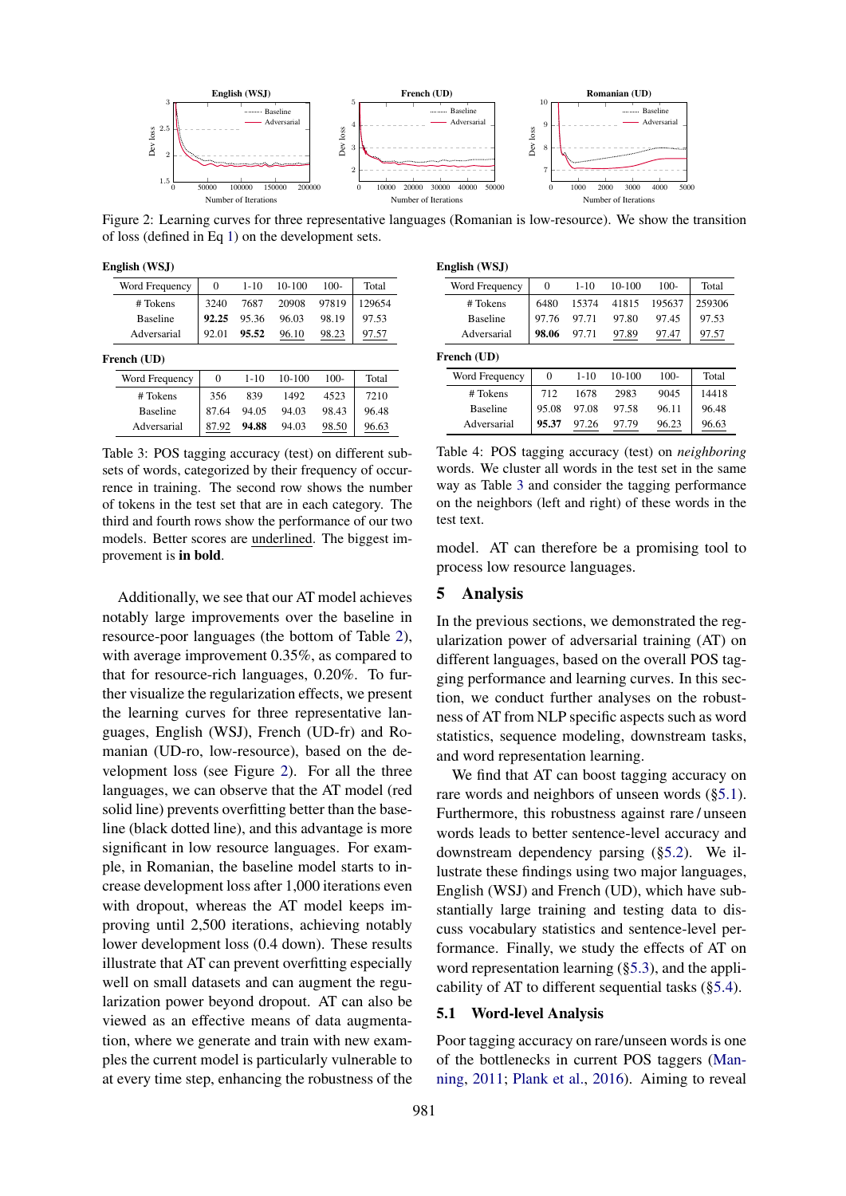

Figure 2: Learning curves for three representative languages (Romanian is low-resource). We show the transition of loss (defined in Eq 1) on the development sets.

English (WSJ)

| $\Omega$ | $1 - 10$ | $10-100$ | $100 -$ | Total  |
|----------|----------|----------|---------|--------|
| 3240     | 7687     | 20908    | 97819   | 129654 |
| 92.25    | 95.36    | 96.03    | 98.19   | 97.53  |
| 92.01    | 95.52    | 96.10    | 98.23   | 97.57  |
|          |          |          |         |        |
| $\Omega$ | $1 - 10$ | $10-100$ | $100 -$ | Total  |
| 356      | 839      | 1492     | 4523    | 7210   |
|          |          |          |         |        |
| 87.64    | 94.05    | 94.03    | 98.43   | 96.48  |
|          |          |          |         |        |

Table 3: POS tagging accuracy (test) on different subsets of words, categorized by their frequency of occurrence in training. The second row shows the number of tokens in the test set that are in each category. The third and fourth rows show the performance of our two models. Better scores are underlined. The biggest improvement is in bold.

Additionally, we see that our AT model achieves notably large improvements over the baseline in resource-poor languages (the bottom of Table 2), with average improvement 0.35%, as compared to that for resource-rich languages, 0.20%. To further visualize the regularization effects, we present the learning curves for three representative languages, English (WSJ), French (UD-fr) and Romanian (UD-ro, low-resource), based on the development loss (see Figure 2). For all the three languages, we can observe that the AT model (red solid line) prevents overfitting better than the baseline (black dotted line), and this advantage is more significant in low resource languages. For example, in Romanian, the baseline model starts to increase development loss after 1,000 iterations even with dropout, whereas the AT model keeps improving until 2,500 iterations, achieving notably lower development loss (0.4 down). These results illustrate that AT can prevent overfitting especially well on small datasets and can augment the regularization power beyond dropout. AT can also be viewed as an effective means of data augmentation, where we generate and train with new examples the current model is particularly vulnerable to at every time step, enhancing the robustness of the

| English (WSJ) |  |
|---------------|--|
|---------------|--|

| Word Frequency  | $\Omega$ | $1 - 10$ | $10-100$ | $100 -$ | Total  |
|-----------------|----------|----------|----------|---------|--------|
| # Tokens        | 6480     | 15374    | 41815    | 195637  | 259306 |
| <b>Baseline</b> | 97.76    | 97.71    | 97.80    | 97.45   | 97.53  |
| Adversarial     | 98.06    | 97.71    | 97.89    | 97.47   | 97.57  |
| French (UD)     |          |          |          |         |        |
| Word Frequency  | $\theta$ | $1 - 10$ | 10-100   | $100 -$ | Total  |
| # Tokens        | 712      | 1678     | 2983     | 9045    | 14418  |
| <b>Baseline</b> | 95.08    | 97.08    | 97.58    | 96.11   | 96.48  |
| Adversarial     | 95.37    | 97.26    | 97.79    | 96.23   | 96.63  |
|                 |          |          |          |         |        |

Table 4: POS tagging accuracy (test) on *neighboring* words. We cluster all words in the test set in the same way as Table 3 and consider the tagging performance on the neighbors (left and right) of these words in the test text.

model. AT can therefore be a promising tool to process low resource languages.

# 5 Analysis

In the previous sections, we demonstrated the regularization power of adversarial training (AT) on different languages, based on the overall POS tagging performance and learning curves. In this section, we conduct further analyses on the robustness of AT from NLP specific aspects such as word statistics, sequence modeling, downstream tasks, and word representation learning.

We find that AT can boost tagging accuracy on rare words and neighbors of unseen words (§5.1). Furthermore, this robustness against rare / unseen words leads to better sentence-level accuracy and downstream dependency parsing (§5.2). We illustrate these findings using two major languages, English (WSJ) and French (UD), which have substantially large training and testing data to discuss vocabulary statistics and sentence-level performance. Finally, we study the effects of AT on word representation learning (§5.3), and the applicability of AT to different sequential tasks (§5.4).

#### 5.1 Word-level Analysis

Poor tagging accuracy on rare/unseen words is one of the bottlenecks in current POS taggers (Manning, 2011; Plank et al., 2016). Aiming to reveal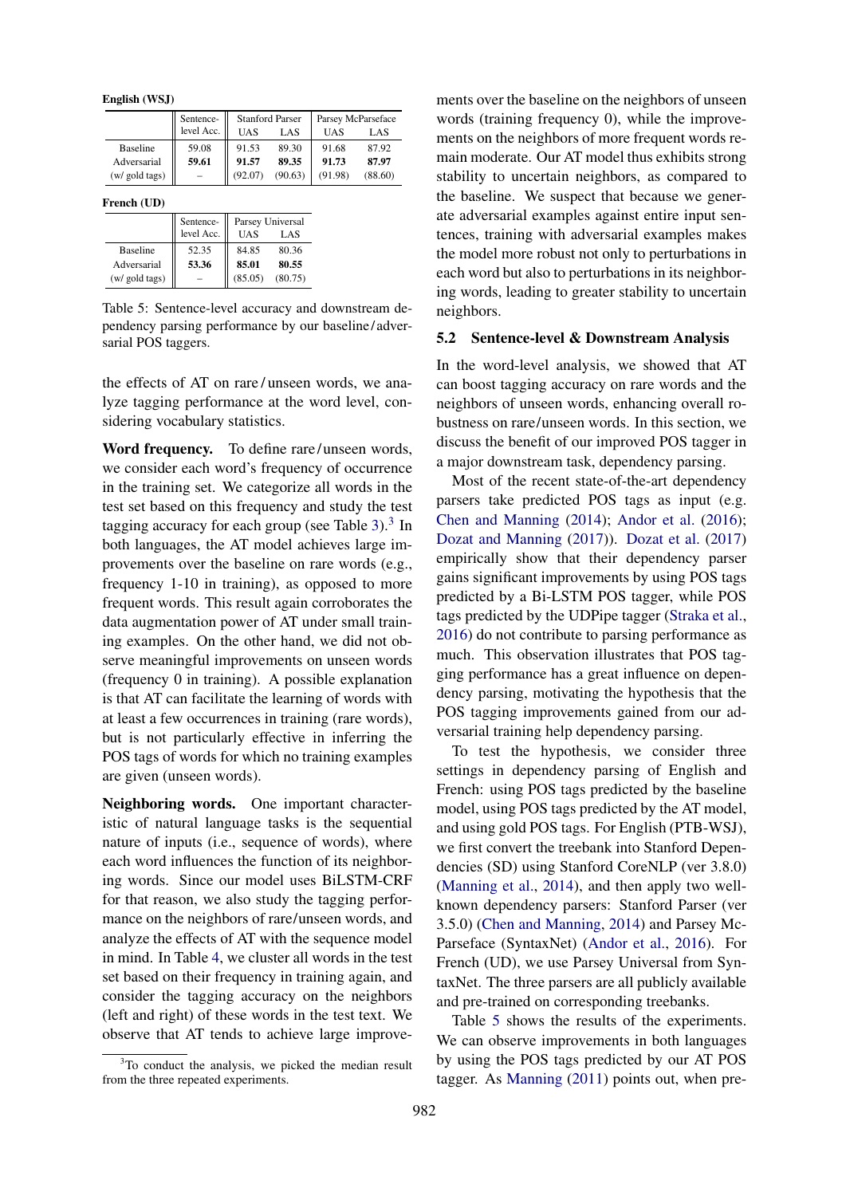English (WSJ)

|                 | Sentence-  | <b>Stanford Parser</b> |         | Parsey McParseface |         |  |
|-----------------|------------|------------------------|---------|--------------------|---------|--|
|                 | level Acc. | UAS                    | LAS     | UAS                | LAS     |  |
| <b>Baseline</b> | 59.08      | 91.53                  | 89.30   | 91.68              | 87.92   |  |
| Adversarial     | 59.61      | 91.57                  | 89.35   | 91.73              | 87.97   |  |
| (w/ gold tags)  |            | (92.07)                | (90.63) | (91.98)            | (88.60) |  |

French (UD)

|                 | Sentence-<br>level Acc. | Parsey Universal<br>UAS | LAS     |
|-----------------|-------------------------|-------------------------|---------|
| <b>Baseline</b> | 52.35                   | 84.85                   | 80.36   |
| Adversarial     | 53.36                   | 85.01                   | 80.55   |
| (w/ gold tags)  |                         | (85.05)                 | (80.75) |

Table 5: Sentence-level accuracy and downstream dependency parsing performance by our baseline/adversarial POS taggers.

the effects of AT on rare / unseen words, we analyze tagging performance at the word level, considering vocabulary statistics.

Word frequency. To define rare/unseen words, we consider each word's frequency of occurrence in the training set. We categorize all words in the test set based on this frequency and study the test tagging accuracy for each group (see Table 3). $3$  In both languages, the AT model achieves large improvements over the baseline on rare words (e.g., frequency 1-10 in training), as opposed to more frequent words. This result again corroborates the data augmentation power of AT under small training examples. On the other hand, we did not observe meaningful improvements on unseen words (frequency 0 in training). A possible explanation is that AT can facilitate the learning of words with at least a few occurrences in training (rare words), but is not particularly effective in inferring the POS tags of words for which no training examples are given (unseen words).

Neighboring words. One important characteristic of natural language tasks is the sequential nature of inputs (i.e., sequence of words), where each word influences the function of its neighboring words. Since our model uses BiLSTM-CRF for that reason, we also study the tagging performance on the neighbors of rare/unseen words, and analyze the effects of AT with the sequence model in mind. In Table 4, we cluster all words in the test set based on their frequency in training again, and consider the tagging accuracy on the neighbors (left and right) of these words in the test text. We observe that AT tends to achieve large improve-

<sup>3</sup>To conduct the analysis, we picked the median result from the three repeated experiments.

ments over the baseline on the neighbors of unseen words (training frequency 0), while the improvements on the neighbors of more frequent words remain moderate. Our AT model thus exhibits strong stability to uncertain neighbors, as compared to the baseline. We suspect that because we generate adversarial examples against entire input sentences, training with adversarial examples makes the model more robust not only to perturbations in each word but also to perturbations in its neighboring words, leading to greater stability to uncertain neighbors.

### 5.2 Sentence-level & Downstream Analysis

In the word-level analysis, we showed that AT can boost tagging accuracy on rare words and the neighbors of unseen words, enhancing overall robustness on rare/unseen words. In this section, we discuss the benefit of our improved POS tagger in a major downstream task, dependency parsing.

Most of the recent state-of-the-art dependency parsers take predicted POS tags as input (e.g. Chen and Manning (2014); Andor et al. (2016); Dozat and Manning (2017)). Dozat et al. (2017) empirically show that their dependency parser gains significant improvements by using POS tags predicted by a Bi-LSTM POS tagger, while POS tags predicted by the UDPipe tagger (Straka et al., 2016) do not contribute to parsing performance as much. This observation illustrates that POS tagging performance has a great influence on dependency parsing, motivating the hypothesis that the POS tagging improvements gained from our adversarial training help dependency parsing.

To test the hypothesis, we consider three settings in dependency parsing of English and French: using POS tags predicted by the baseline model, using POS tags predicted by the AT model, and using gold POS tags. For English (PTB-WSJ), we first convert the treebank into Stanford Dependencies (SD) using Stanford CoreNLP (ver 3.8.0) (Manning et al., 2014), and then apply two wellknown dependency parsers: Stanford Parser (ver 3.5.0) (Chen and Manning, 2014) and Parsey Mc-Parseface (SyntaxNet) (Andor et al., 2016). For French (UD), we use Parsey Universal from SyntaxNet. The three parsers are all publicly available and pre-trained on corresponding treebanks.

Table 5 shows the results of the experiments. We can observe improvements in both languages by using the POS tags predicted by our AT POS tagger. As Manning (2011) points out, when pre-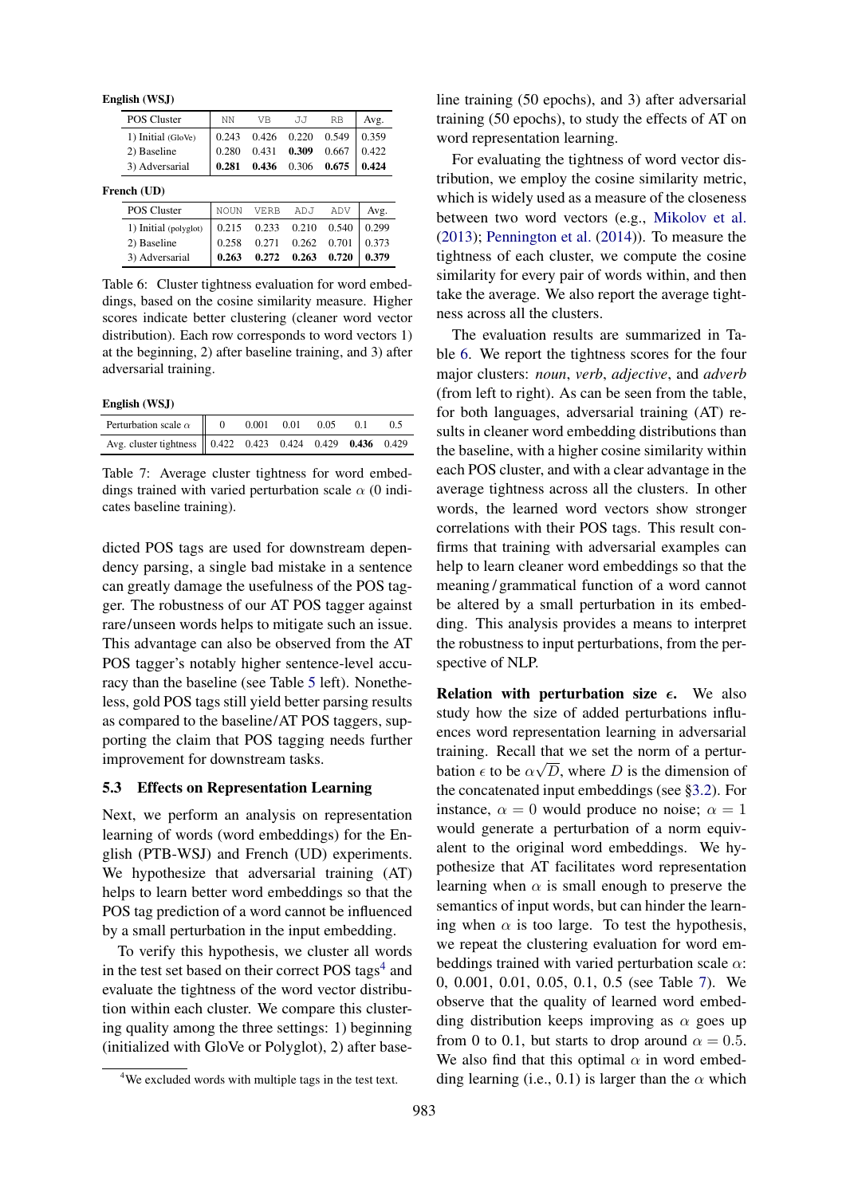English (WSJ)

|             | <b>POS Cluster</b>    | NN          | <b>V<sub>B</sub></b> | J.J   | <b>RB</b> | Avg.  |  |
|-------------|-----------------------|-------------|----------------------|-------|-----------|-------|--|
|             | 1) Initial (GloVe)    | 0.243       | 0.426                | 0.220 | 0.549     | 0.359 |  |
|             | 2) Baseline           | 0.280       | 0.431                | 0.309 | 0.667     | 0.422 |  |
|             | 3) Adversarial        | 0.281       | 0.436                | 0.306 | 0.675     | 0.424 |  |
| French (UD) |                       |             |                      |       |           |       |  |
|             | <b>POS Cluster</b>    | <b>NOUN</b> | <b>VERB</b>          | ADJ   | ADV       | Avg.  |  |
|             | 1) Initial (polyglot) | 0.215       | 0.233                | 0.210 | 0.540     | 0.299 |  |
|             | 2) Baseline           | 0.258       | 0.271                | 0.262 | 0.701     | 0.373 |  |
|             | 3) Adversarial        | 0.263       | 0.272                | 0.263 | 0.720     | 0.379 |  |

Table 6: Cluster tightness evaluation for word embeddings, based on the cosine similarity measure. Higher scores indicate better clustering (cleaner word vector distribution). Each row corresponds to word vectors 1) at the beginning, 2) after baseline training, and 3) after adversarial training.

English (WSJ)

| Perturbation scale $\alpha$   0 0.001 0.01 0.05                                                               |  |  | 01 | 05 |
|---------------------------------------------------------------------------------------------------------------|--|--|----|----|
| Avg. cluster tightness $\begin{bmatrix} 0.422 & 0.423 & 0.424 & 0.429 & \textbf{0.436} & 0.429 \end{bmatrix}$ |  |  |    |    |

Table 7: Average cluster tightness for word embeddings trained with varied perturbation scale  $\alpha$  (0 indicates baseline training).

dicted POS tags are used for downstream dependency parsing, a single bad mistake in a sentence can greatly damage the usefulness of the POS tagger. The robustness of our AT POS tagger against rare/unseen words helps to mitigate such an issue. This advantage can also be observed from the AT POS tagger's notably higher sentence-level accuracy than the baseline (see Table 5 left). Nonetheless, gold POS tags still yield better parsing results as compared to the baseline/AT POS taggers, supporting the claim that POS tagging needs further improvement for downstream tasks.

### 5.3 Effects on Representation Learning

Next, we perform an analysis on representation learning of words (word embeddings) for the English (PTB-WSJ) and French (UD) experiments. We hypothesize that adversarial training (AT) helps to learn better word embeddings so that the POS tag prediction of a word cannot be influenced by a small perturbation in the input embedding.

To verify this hypothesis, we cluster all words in the test set based on their correct POS tags<sup>4</sup> and evaluate the tightness of the word vector distribution within each cluster. We compare this clustering quality among the three settings: 1) beginning (initialized with GloVe or Polyglot), 2) after baseline training (50 epochs), and 3) after adversarial training (50 epochs), to study the effects of AT on word representation learning.

For evaluating the tightness of word vector distribution, we employ the cosine similarity metric, which is widely used as a measure of the closeness between two word vectors (e.g., Mikolov et al. (2013); Pennington et al. (2014)). To measure the tightness of each cluster, we compute the cosine similarity for every pair of words within, and then take the average. We also report the average tightness across all the clusters.

The evaluation results are summarized in Table 6. We report the tightness scores for the four major clusters: *noun*, *verb*, *adjective*, and *adverb* (from left to right). As can be seen from the table, for both languages, adversarial training (AT) results in cleaner word embedding distributions than the baseline, with a higher cosine similarity within each POS cluster, and with a clear advantage in the average tightness across all the clusters. In other words, the learned word vectors show stronger correlations with their POS tags. This result confirms that training with adversarial examples can help to learn cleaner word embeddings so that the meaning / grammatical function of a word cannot be altered by a small perturbation in its embedding. This analysis provides a means to interpret the robustness to input perturbations, from the perspective of NLP.

Relation with perturbation size  $\epsilon$ . We also study how the size of added perturbations influences word representation learning in adversarial training. Recall that we set the norm of a perturbation  $\epsilon$  to be  $\alpha\sqrt{D}$ , where D is the dimension of the concatenated input embeddings (see §3.2). For instance,  $\alpha = 0$  would produce no noise;  $\alpha = 1$ would generate a perturbation of a norm equivalent to the original word embeddings. We hypothesize that AT facilitates word representation learning when  $\alpha$  is small enough to preserve the semantics of input words, but can hinder the learning when  $\alpha$  is too large. To test the hypothesis, we repeat the clustering evaluation for word embeddings trained with varied perturbation scale  $\alpha$ : 0, 0.001, 0.01, 0.05, 0.1, 0.5 (see Table 7). We observe that the quality of learned word embedding distribution keeps improving as  $\alpha$  goes up from 0 to 0.1, but starts to drop around  $\alpha = 0.5$ . We also find that this optimal  $\alpha$  in word embedding learning (i.e., 0.1) is larger than the  $\alpha$  which

<sup>&</sup>lt;sup>4</sup>We excluded words with multiple tags in the test text.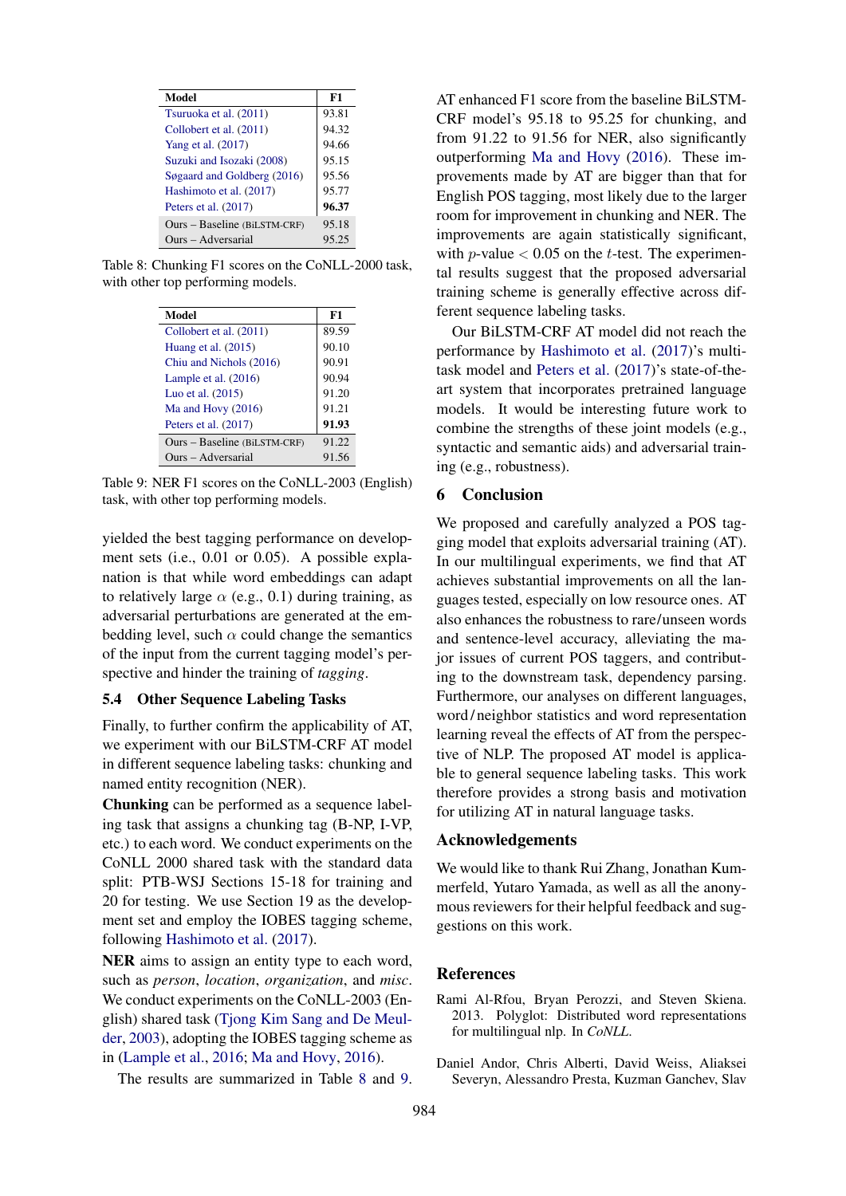| Model                        | F1    |
|------------------------------|-------|
| Tsuruoka et al. (2011)       | 93.81 |
| Collobert et al. (2011)      | 94.32 |
| Yang et al. (2017)           | 94.66 |
| Suzuki and Isozaki (2008)    | 95.15 |
| Søgaard and Goldberg (2016)  | 95.56 |
| Hashimoto et al. (2017)      | 95.77 |
| Peters et al. $(2017)$       | 96.37 |
| Ours - Baseline (BiLSTM-CRF) | 95.18 |
| Ours - Adversarial           | 95.25 |

Table 8: Chunking F1 scores on the CoNLL-2000 task, with other top performing models.

| Model                        | F1    |
|------------------------------|-------|
| Collobert et al. (2011)      | 89.59 |
| Huang et al. $(2015)$        | 90.10 |
| Chiu and Nichols (2016)      | 90.91 |
| Lample et al. $(2016)$       | 90.94 |
| Luo et al. (2015)            | 91.20 |
| Ma and Hovy $(2016)$         | 91.21 |
| Peters et al. (2017)         | 91.93 |
| Ours – Baseline (BiLSTM-CRF) | 91.22 |
| Ours - Adversarial           | 91.56 |

Table 9: NER F1 scores on the CoNLL-2003 (English) task, with other top performing models.

yielded the best tagging performance on development sets (i.e., 0.01 or 0.05). A possible explanation is that while word embeddings can adapt to relatively large  $\alpha$  (e.g., 0.1) during training, as adversarial perturbations are generated at the embedding level, such  $\alpha$  could change the semantics of the input from the current tagging model's perspective and hinder the training of *tagging*.

#### 5.4 Other Sequence Labeling Tasks

Finally, to further confirm the applicability of AT, we experiment with our BiLSTM-CRF AT model in different sequence labeling tasks: chunking and named entity recognition (NER).

Chunking can be performed as a sequence labeling task that assigns a chunking tag (B-NP, I-VP, etc.) to each word. We conduct experiments on the CoNLL 2000 shared task with the standard data split: PTB-WSJ Sections 15-18 for training and 20 for testing. We use Section 19 as the development set and employ the IOBES tagging scheme, following Hashimoto et al. (2017).

NER aims to assign an entity type to each word, such as *person*, *location*, *organization*, and *misc*. We conduct experiments on the CoNLL-2003 (English) shared task (Tjong Kim Sang and De Meulder, 2003), adopting the IOBES tagging scheme as in (Lample et al., 2016; Ma and Hovy, 2016).

The results are summarized in Table 8 and 9.

AT enhanced F1 score from the baseline BiLSTM-CRF model's 95.18 to 95.25 for chunking, and from 91.22 to 91.56 for NER, also significantly outperforming Ma and Hovy (2016). These improvements made by AT are bigger than that for English POS tagging, most likely due to the larger room for improvement in chunking and NER. The improvements are again statistically significant, with *p*-value  $< 0.05$  on the *t*-test. The experimental results suggest that the proposed adversarial training scheme is generally effective across different sequence labeling tasks.

Our BiLSTM-CRF AT model did not reach the performance by Hashimoto et al. (2017)'s multitask model and Peters et al. (2017)'s state-of-theart system that incorporates pretrained language models. It would be interesting future work to combine the strengths of these joint models (e.g., syntactic and semantic aids) and adversarial training (e.g., robustness).

# 6 Conclusion

We proposed and carefully analyzed a POS tagging model that exploits adversarial training (AT). In our multilingual experiments, we find that AT achieves substantial improvements on all the languages tested, especially on low resource ones. AT also enhances the robustness to rare/unseen words and sentence-level accuracy, alleviating the major issues of current POS taggers, and contributing to the downstream task, dependency parsing. Furthermore, our analyses on different languages, word / neighbor statistics and word representation learning reveal the effects of AT from the perspective of NLP. The proposed AT model is applicable to general sequence labeling tasks. This work therefore provides a strong basis and motivation for utilizing AT in natural language tasks.

#### Acknowledgements

We would like to thank Rui Zhang, Jonathan Kummerfeld, Yutaro Yamada, as well as all the anonymous reviewers for their helpful feedback and suggestions on this work.

#### References

- Rami Al-Rfou, Bryan Perozzi, and Steven Skiena. 2013. Polyglot: Distributed word representations for multilingual nlp. In *CoNLL*.
- Daniel Andor, Chris Alberti, David Weiss, Aliaksei Severyn, Alessandro Presta, Kuzman Ganchev, Slav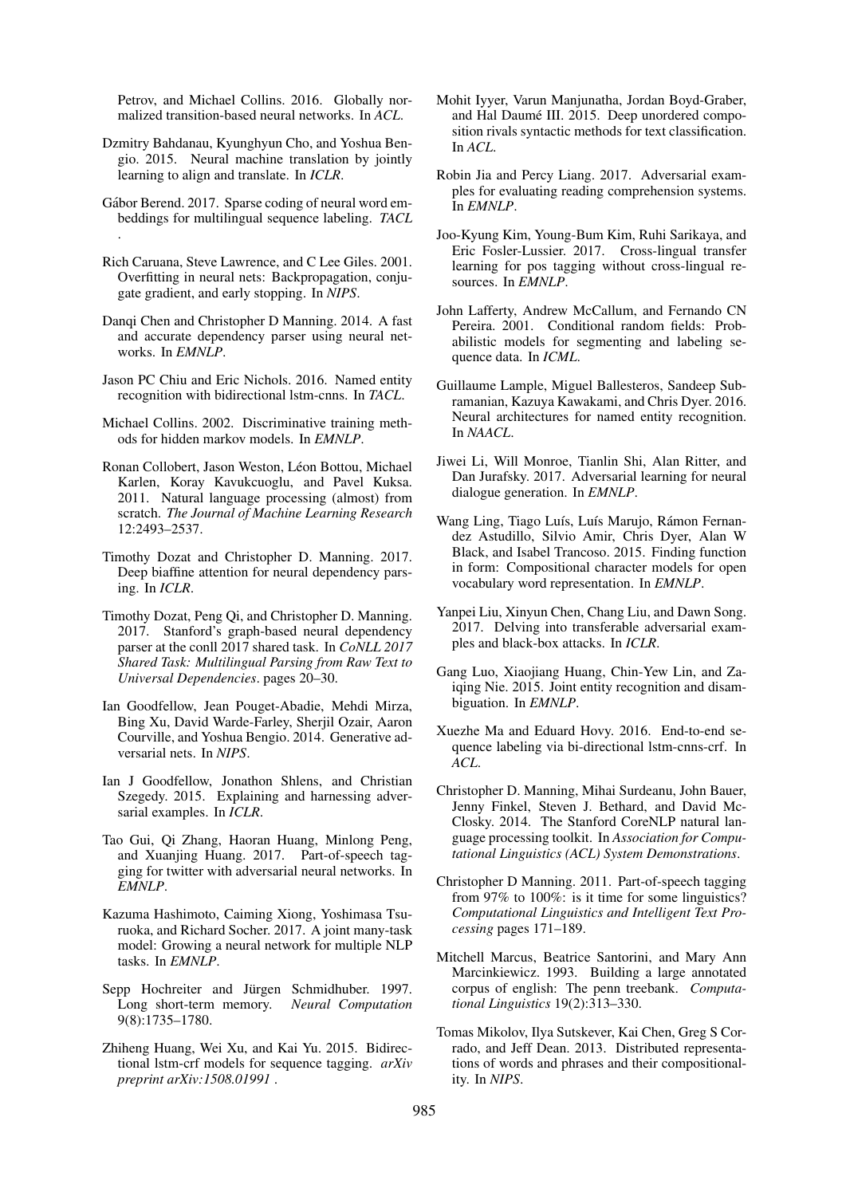Petrov, and Michael Collins. 2016. Globally normalized transition-based neural networks. In *ACL*.

- Dzmitry Bahdanau, Kyunghyun Cho, and Yoshua Bengio. 2015. Neural machine translation by jointly learning to align and translate. In *ICLR*.
- Gábor Berend. 2017. Sparse coding of neural word embeddings for multilingual sequence labeling. *TACL* .
- Rich Caruana, Steve Lawrence, and C Lee Giles. 2001. Overfitting in neural nets: Backpropagation, conjugate gradient, and early stopping. In *NIPS*.
- Danqi Chen and Christopher D Manning. 2014. A fast and accurate dependency parser using neural networks. In *EMNLP*.
- Jason PC Chiu and Eric Nichols. 2016. Named entity recognition with bidirectional lstm-cnns. In *TACL*.
- Michael Collins. 2002. Discriminative training methods for hidden markov models. In *EMNLP*.
- Ronan Collobert, Jason Weston, Léon Bottou, Michael Karlen, Koray Kavukcuoglu, and Pavel Kuksa. 2011. Natural language processing (almost) from scratch. *The Journal of Machine Learning Research* 12:2493–2537.
- Timothy Dozat and Christopher D. Manning. 2017. Deep biaffine attention for neural dependency parsing. In *ICLR*.
- Timothy Dozat, Peng Qi, and Christopher D. Manning. 2017. Stanford's graph-based neural dependency parser at the conll 2017 shared task. In *CoNLL 2017 Shared Task: Multilingual Parsing from Raw Text to Universal Dependencies*. pages 20–30.
- Ian Goodfellow, Jean Pouget-Abadie, Mehdi Mirza, Bing Xu, David Warde-Farley, Sherjil Ozair, Aaron Courville, and Yoshua Bengio. 2014. Generative adversarial nets. In *NIPS*.
- Ian J Goodfellow, Jonathon Shlens, and Christian Szegedy. 2015. Explaining and harnessing adversarial examples. In *ICLR*.
- Tao Gui, Qi Zhang, Haoran Huang, Minlong Peng, and Xuanjing Huang. 2017. Part-of-speech tagging for twitter with adversarial neural networks. In *EMNLP*.
- Kazuma Hashimoto, Caiming Xiong, Yoshimasa Tsuruoka, and Richard Socher. 2017. A joint many-task model: Growing a neural network for multiple NLP tasks. In *EMNLP*.
- Sepp Hochreiter and Jürgen Schmidhuber. 1997. Long short-term memory. *Neural Computation* 9(8):1735–1780.
- Zhiheng Huang, Wei Xu, and Kai Yu. 2015. Bidirectional lstm-crf models for sequence tagging. *arXiv preprint arXiv:1508.01991* .
- Mohit Iyyer, Varun Manjunatha, Jordan Boyd-Graber, and Hal Daumé III. 2015. Deep unordered composition rivals syntactic methods for text classification. In *ACL*.
- Robin Jia and Percy Liang. 2017. Adversarial examples for evaluating reading comprehension systems. In *EMNLP*.
- Joo-Kyung Kim, Young-Bum Kim, Ruhi Sarikaya, and Eric Fosler-Lussier. 2017. Cross-lingual transfer learning for pos tagging without cross-lingual resources. In *EMNLP*.
- John Lafferty, Andrew McCallum, and Fernando CN Pereira. 2001. Conditional random fields: Probabilistic models for segmenting and labeling sequence data. In *ICML*.
- Guillaume Lample, Miguel Ballesteros, Sandeep Subramanian, Kazuya Kawakami, and Chris Dyer. 2016. Neural architectures for named entity recognition. In *NAACL*.
- Jiwei Li, Will Monroe, Tianlin Shi, Alan Ritter, and Dan Jurafsky. 2017. Adversarial learning for neural dialogue generation. In *EMNLP*.
- Wang Ling, Tiago Luís, Luís Marujo, Rámon Fernandez Astudillo, Silvio Amir, Chris Dyer, Alan W Black, and Isabel Trancoso. 2015. Finding function in form: Compositional character models for open vocabulary word representation. In *EMNLP*.
- Yanpei Liu, Xinyun Chen, Chang Liu, and Dawn Song. 2017. Delving into transferable adversarial examples and black-box attacks. In *ICLR*.
- Gang Luo, Xiaojiang Huang, Chin-Yew Lin, and Zaiqing Nie. 2015. Joint entity recognition and disambiguation. In *EMNLP*.
- Xuezhe Ma and Eduard Hovy. 2016. End-to-end sequence labeling via bi-directional lstm-cnns-crf. In *ACL*.
- Christopher D. Manning, Mihai Surdeanu, John Bauer, Jenny Finkel, Steven J. Bethard, and David Mc-Closky. 2014. The Stanford CoreNLP natural language processing toolkit. In *Association for Computational Linguistics (ACL) System Demonstrations*.
- Christopher D Manning. 2011. Part-of-speech tagging from 97% to 100%: is it time for some linguistics? *Computational Linguistics and Intelligent Text Processing* pages 171–189.
- Mitchell Marcus, Beatrice Santorini, and Mary Ann Marcinkiewicz. 1993. Building a large annotated corpus of english: The penn treebank. *Computational Linguistics* 19(2):313–330.
- Tomas Mikolov, Ilya Sutskever, Kai Chen, Greg S Corrado, and Jeff Dean. 2013. Distributed representations of words and phrases and their compositionality. In *NIPS*.